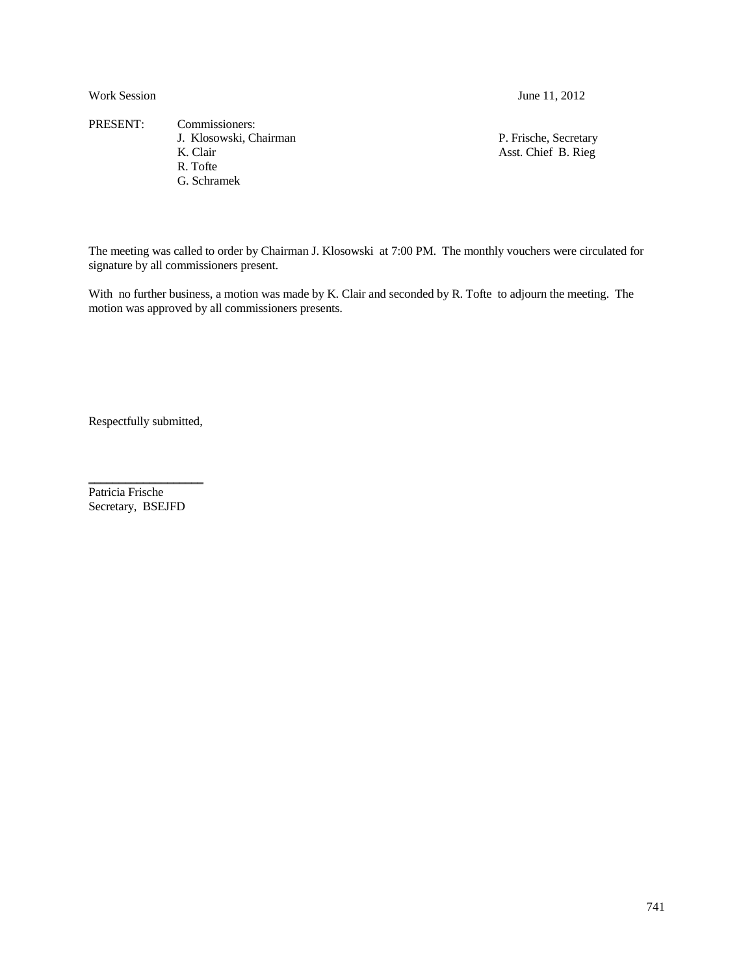Work Session June 11, 2012

PRESENT: Commissioners: J. Klosowski, Chairman P. Frische, Secretary R. Clair Asst. Chief B. Rieg R. Tofte G. Schramek

Asst. Chief B. Rieg

The meeting was called to order by Chairman J. Klosowski at 7:00 PM. The monthly vouchers were circulated for signature by all commissioners present.

With no further business, a motion was made by K. Clair and seconded by R. Tofte to adjourn the meeting. The motion was approved by all commissioners presents.

Respectfully submitted,

\_\_\_\_\_\_\_\_\_\_\_\_\_\_\_\_\_\_\_

Patricia Frische Secretary, BSEJFD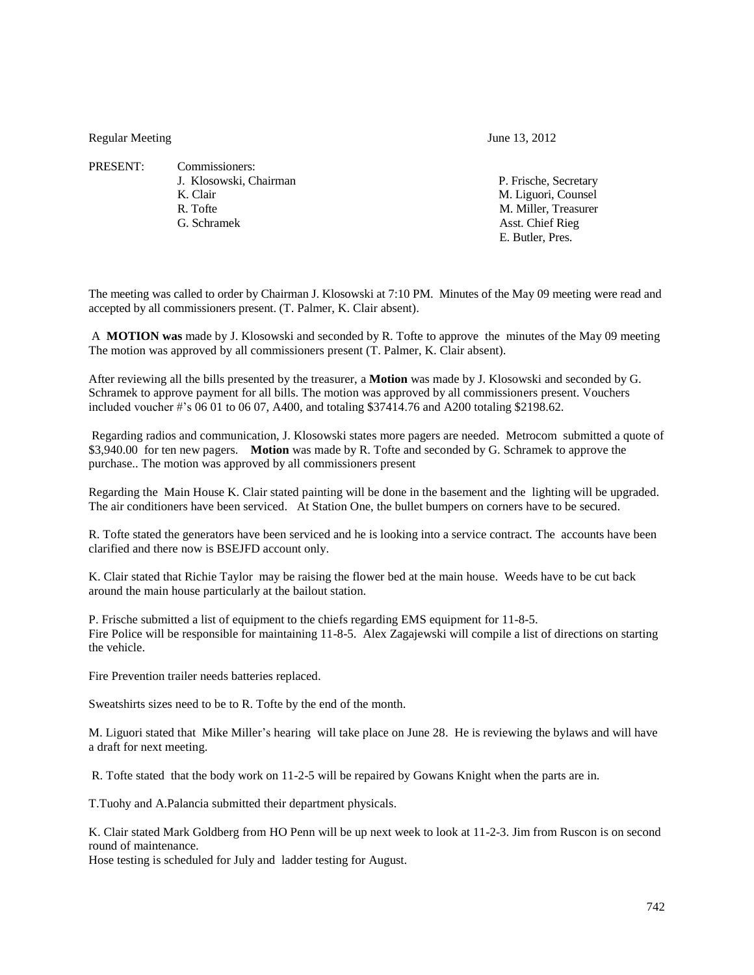Regular Meeting June 13, 2012

- PRESENT: Commissioners: J. Klosowski, Chairman P. Frische, Secretary K. Clair M. Liguori, Counsel R. Tofte M. Miller, Treasurer
	-

G. Schramek Asst. Chief Rieg E. Butler, Pres.

The meeting was called to order by Chairman J. Klosowski at 7:10 PM. Minutes of the May 09 meeting were read and accepted by all commissioners present. (T. Palmer, K. Clair absent).

A **MOTION was** made by J. Klosowski and seconded by R. Tofte to approve the minutes of the May 09 meeting The motion was approved by all commissioners present (T. Palmer, K. Clair absent).

After reviewing all the bills presented by the treasurer, a **Motion** was made by J. Klosowski and seconded by G. Schramek to approve payment for all bills. The motion was approved by all commissioners present. Vouchers included voucher #'s 06 01 to 06 07, A400, and totaling \$37414.76 and A200 totaling \$2198.62.

Regarding radios and communication, J. Klosowski states more pagers are needed. Metrocom submitted a quote of \$3,940.00 for ten new pagers. **Motion** was made by R. Tofte and seconded by G. Schramek to approve the purchase.. The motion was approved by all commissioners present

Regarding the Main House K. Clair stated painting will be done in the basement and the lighting will be upgraded. The air conditioners have been serviced. At Station One, the bullet bumpers on corners have to be secured.

R. Tofte stated the generators have been serviced and he is looking into a service contract. The accounts have been clarified and there now is BSEJFD account only.

K. Clair stated that Richie Taylor may be raising the flower bed at the main house. Weeds have to be cut back around the main house particularly at the bailout station.

P. Frische submitted a list of equipment to the chiefs regarding EMS equipment for 11-8-5. Fire Police will be responsible for maintaining 11-8-5. Alex Zagajewski will compile a list of directions on starting the vehicle.

Fire Prevention trailer needs batteries replaced.

Sweatshirts sizes need to be to R. Tofte by the end of the month.

M. Liguori stated that Mike Miller's hearing will take place on June 28. He is reviewing the bylaws and will have a draft for next meeting.

R. Tofte stated that the body work on 11-2-5 will be repaired by Gowans Knight when the parts are in.

T.Tuohy and A.Palancia submitted their department physicals.

K. Clair stated Mark Goldberg from HO Penn will be up next week to look at 11-2-3. Jim from Ruscon is on second round of maintenance.

Hose testing is scheduled for July and ladder testing for August.